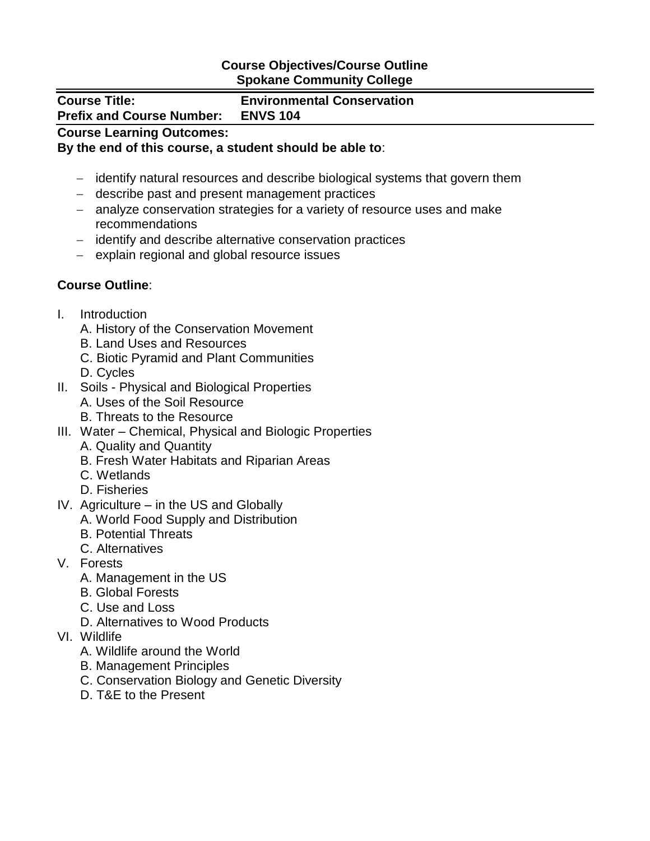## **Course Objectives/Course Outline Spokane Community College**

### **Course Title: Environmental Conservation**

**Prefix and Course Number: ENVS 104**

# **Course Learning Outcomes:**

## **By the end of this course, a student should be able to**:

- identify natural resources and describe biological systems that govern them
- describe past and present management practices
- analyze conservation strategies for a variety of resource uses and make recommendations
- identify and describe alternative conservation practices
- explain regional and global resource issues

# **Course Outline**:

- I. Introduction
	- A. History of the Conservation Movement
	- B. Land Uses and Resources
	- C. Biotic Pyramid and Plant Communities
	- D. Cycles
- II. Soils Physical and Biological Properties
	- A. Uses of the Soil Resource
	- B. Threats to the Resource
- III. Water Chemical, Physical and Biologic Properties
	- A. Quality and Quantity
	- B. Fresh Water Habitats and Riparian Areas
	- C. Wetlands
	- D. Fisheries
- IV. Agriculture in the US and Globally
	- A. World Food Supply and Distribution
	- B. Potential Threats
	- C. Alternatives
- V. Forests
	- A. Management in the US
	- B. Global Forests
	- C. Use and Loss
	- D. Alternatives to Wood Products
- VI. Wildlife
	- A. Wildlife around the World
	- B. Management Principles
	- C. Conservation Biology and Genetic Diversity
	- D. T&E to the Present